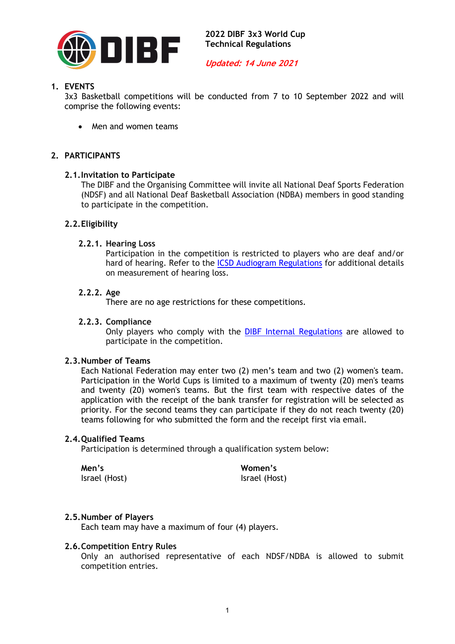

**Updated: 14 June 2021**

# **1. EVENTS**

3x3 Basketball competitions will be conducted from 7 to 10 September 2022 and will comprise the following events:

• Men and women teams

# **2. PARTICIPANTS**

### **2.1.Invitation to Participate**

The DIBF and the Organising Committee will invite all National Deaf Sports Federation (NDSF) and all National Deaf Basketball Association (NDBA) members in good standing to participate in the competition.

# **2.2.Eligibility**

#### **2.2.1. Hearing Loss**

Participation in the competition is restricted to players who are deaf and/or hard of hearing. Refer to the ICSD Audiogram Regulations for additional details on measurement of hearing loss.

### **2.2.2. Age**

There are no age restrictions for these competitions.

### **2.2.3. Compliance**

Only players who comply with the DIBF Internal Regulations are allowed to participate in the competition.

#### **2.3.Number of Teams**

Each National Federation may enter two (2) men's team and two (2) women's team. Participation in the World Cups is limited to a maximum of twenty (20) men's teams and twenty (20) women's teams. But the first team with respective dates of the application with the receipt of the bank transfer for registration will be selected as priority. For the second teams they can participate if they do not reach twenty (20) teams following for who submitted the form and the receipt first via email.

### **2.4.Qualified Teams**

Participation is determined through a qualification system below:

**Men's** Israel (Host) **Women's** Israel (Host)

# **2.5.Number of Players**

Each team may have a maximum of four (4) players.

#### **2.6.Competition Entry Rules**

Only an authorised representative of each NDSF/NDBA is allowed to submit competition entries.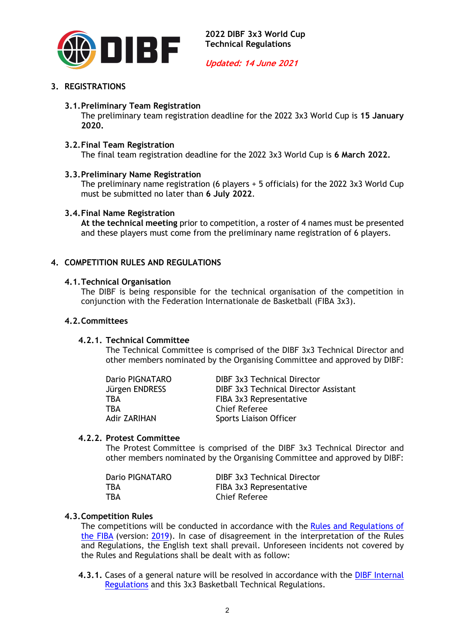

# **3. REGISTRATIONS**

# **3.1.Preliminary Team Registration**

The preliminary team registration deadline for the 2022 3x3 World Cup is **15 January 2020.**

### **3.2.Final Team Registration**

The final team registration deadline for the 2022 3x3 World Cup is **6 March 2022.**

### **3.3.Preliminary Name Registration**

The preliminary name registration (6 players + 5 officials) for the 2022 3x3 World Cup must be submitted no later than **6 July 2022**.

# **3.4.Final Name Registration**

**At the technical meeting** prior to competition, a roster of 4 names must be presented and these players must come from the preliminary name registration of 6 players.

# **4. COMPETITION RULES AND REGULATIONS**

### **4.1.Technical Organisation**

The DIBF is being responsible for the technical organisation of the competition in conjunction with the Federation Internationale de Basketball (FIBA 3x3).

#### **4.2.Committees**

#### **4.2.1. Technical Committee**

The Technical Committee is comprised of the DIBF 3x3 Technical Director and other members nominated by the Organising Committee and approved by DIBF:

| Dario PIGNATARO | DIBF 3x3 Technical Director           |
|-----------------|---------------------------------------|
| Jürgen ENDRESS  | DIBF 3x3 Technical Director Assistant |
| TBA             | FIBA 3x3 Representative               |
| TBA             | <b>Chief Referee</b>                  |
| Adir ZARIHAN    | Sports Liaison Officer                |

#### **4.2.2. Protest Committee**

The Protest Committee is comprised of the DIBF 3x3 Technical Director and other members nominated by the Organising Committee and approved by DIBF:

| <b>DIBF 3x3 Technical Director</b> |
|------------------------------------|
| FIBA 3x3 Representative            |
| Chief Referee                      |
|                                    |

# **4.3.Competition Rules**

The competitions will be conducted in accordance with the Rules and Regulations of the FIBA (version: 2019). In case of disagreement in the interpretation of the Rules and Regulations, the English text shall prevail. Unforeseen incidents not covered by the Rules and Regulations shall be dealt with as follow:

**4.3.1.** Cases of a general nature will be resolved in accordance with the DIBF Internal Regulations and this 3x3 Basketball Technical Regulations.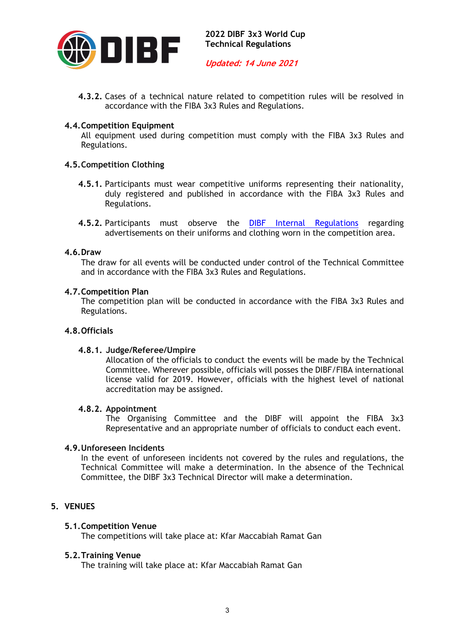

**Updated: 14 June 2021**

**4.3.2.** Cases of a technical nature related to competition rules will be resolved in accordance with the FIBA 3x3 Rules and Regulations.

# **4.4.Competition Equipment**

All equipment used during competition must comply with the FIBA 3x3 Rules and Regulations.

# **4.5.Competition Clothing**

- **4.5.1.** Participants must wear competitive uniforms representing their nationality, duly registered and published in accordance with the FIBA 3x3 Rules and Regulations.
- 4.5.2. Participants must observe the **DIBF Internal Regulations** regarding advertisements on their uniforms and clothing worn in the competition area.

### **4.6.Draw**

The draw for all events will be conducted under control of the Technical Committee and in accordance with the FIBA 3x3 Rules and Regulations.

### **4.7.Competition Plan**

The competition plan will be conducted in accordance with the FIBA 3x3 Rules and Regulations.

# **4.8.Officials**

# **4.8.1. Judge/Referee/Umpire**

Allocation of the officials to conduct the events will be made by the Technical Committee. Wherever possible, officials will posses the DIBF/FIBA international license valid for 2019. However, officials with the highest level of national accreditation may be assigned.

#### **4.8.2. Appointment**

The Organising Committee and the DIBF will appoint the FIBA 3x3 Representative and an appropriate number of officials to conduct each event.

# **4.9.Unforeseen Incidents**

In the event of unforeseen incidents not covered by the rules and regulations, the Technical Committee will make a determination. In the absence of the Technical Committee, the DIBF 3x3 Technical Director will make a determination.

# **5. VENUES**

# **5.1.Competition Venue**

The competitions will take place at: Kfar Maccabiah Ramat Gan

# **5.2.Training Venue**

The training will take place at: Kfar Maccabiah Ramat Gan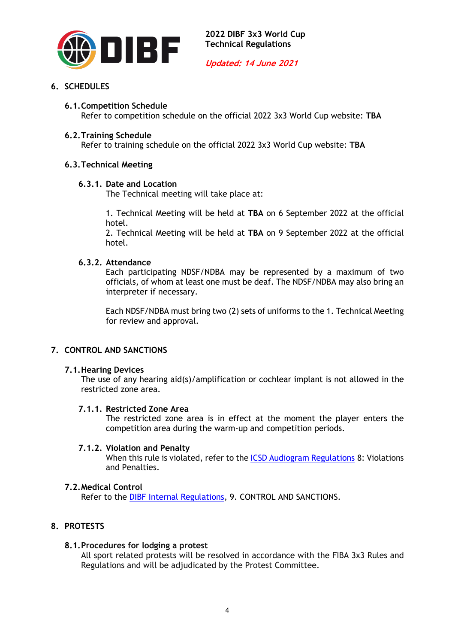

# **6. SCHEDULES**

# **6.1.Competition Schedule**

Refer to competition schedule on the official 2022 3x3 World Cup website: **TBA**

### **6.2.Training Schedule**

Refer to training schedule on the official 2022 3x3 World Cup website: **TBA**

# **6.3.Technical Meeting**

# **6.3.1. Date and Location**

The Technical meeting will take place at:

1. Technical Meeting will be held at **TBA** on 6 September 2022 at the official hotel.

2. Technical Meeting will be held at **TBA** on 9 September 2022 at the official hotel.

# **6.3.2. Attendance**

Each participating NDSF/NDBA may be represented by a maximum of two officials, of whom at least one must be deaf. The NDSF/NDBA may also bring an interpreter if necessary.

Each NDSF/NDBA must bring two (2) sets of uniforms to the 1. Technical Meeting for review and approval.

# **7. CONTROL AND SANCTIONS**

# **7.1.Hearing Devices**

The use of any hearing aid(s)/amplification or cochlear implant is not allowed in the restricted zone area.

# **7.1.1. Restricted Zone Area**

The restricted zone area is in effect at the moment the player enters the competition area during the warm-up and competition periods.

# **7.1.2. Violation and Penalty**

When this rule is violated, refer to the **ICSD** Audiogram Regulations 8: Violations and Penalties.

# **7.2.Medical Control**

Refer to the DIBF Internal Regulations, 9. CONTROL AND SANCTIONS.

# **8. PROTESTS**

#### **8.1.Procedures for lodging a protest**

All sport related protests will be resolved in accordance with the FIBA 3x3 Rules and Regulations and will be adjudicated by the Protest Committee.